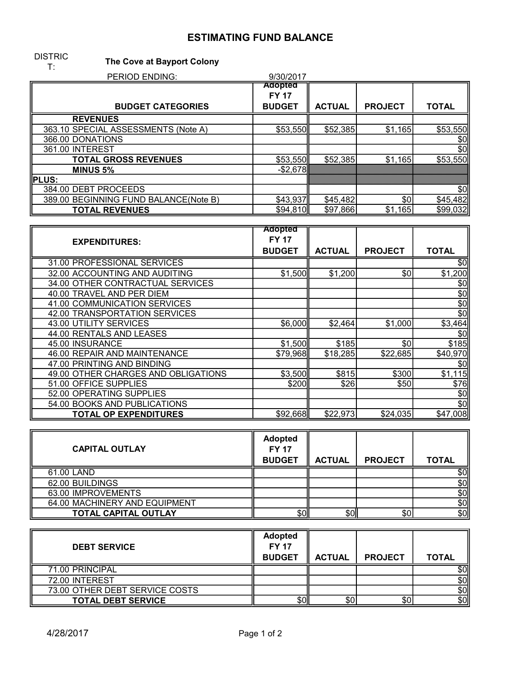## ESTIMATING FUND BALANCE

## DISTRIC<br>T: The Cove at Bayport Colony

| . .<br>PERIOD ENDING:                 | 9/30/2017               |               |                |              |
|---------------------------------------|-------------------------|---------------|----------------|--------------|
|                                       | Adopted<br><b>FY 17</b> |               |                |              |
| <b>BUDGET CATEGORIES</b>              | <b>BUDGET</b>           | <b>ACTUAL</b> | <b>PROJECT</b> | <b>TOTAL</b> |
| <b>REVENUES</b>                       |                         |               |                |              |
| 363.10 SPECIAL ASSESSMENTS (Note A)   | \$53,550                | \$52,385      | \$1,165        | \$53,550     |
| 366.00 DONATIONS                      |                         |               |                | \$0          |
| 361.00 INTEREST                       |                         |               |                | \$0          |
| <b>TOTAL GROSS REVENUES</b>           | \$53,550                | \$52,385      | \$1,165        | \$53,550     |
| <b>MINUS 5%</b>                       | $-$ \$2,678             |               |                |              |
| <b>PLUS:</b>                          |                         |               |                |              |
| 384.00 DEBT PROCEEDS                  |                         |               |                | \$0          |
| 389.00 BEGINNING FUND BALANCE(Note B) | \$43,937                | \$45,482      | \$0            | \$45,482     |
| <b>TOTAL REVENUES</b>                 | \$94,810                | \$97,866      | \$1,165        | \$99,032     |

|                                     | <b>Adopted</b> |               |                |              |
|-------------------------------------|----------------|---------------|----------------|--------------|
| <b>EXPENDITURES:</b>                | <b>FY 17</b>   |               |                |              |
|                                     | <b>BUDGET</b>  | <b>ACTUAL</b> | <b>PROJECT</b> | <b>TOTAL</b> |
| 31.00 PROFESSIONAL SERVICES         |                |               |                | \$0          |
| 32.00 ACCOUNTING AND AUDITING       | \$1,500        | \$1,200       | \$0            | \$1,200      |
| 34.00 OTHER CONTRACTUAL SERVICES    |                |               |                | \$O          |
| 40.00 TRAVEL AND PER DIEM           |                |               |                | \$0          |
| 41.00 COMMUNICATION SERVICES        |                |               |                | \$0          |
| 42.00 TRANSPORTATION SERVICES       |                |               |                | \$O          |
| 43.00 UTILITY SERVICES              | \$6,000        | \$2,464       | \$1,000        | \$3,464      |
| 44.00 RENTALS AND LEASES            |                |               |                | \$O          |
| 45.00 INSURANCE                     | \$1,500        | \$185         | \$0            | \$185        |
| 46.00 REPAIR AND MAINTENANCE        | \$79,968       | \$18,285      | \$22,685       | \$40,970     |
| 47.00 PRINTING AND BINDING          |                |               |                | \$O          |
| 49.00 OTHER CHARGES AND OBLIGATIONS | \$3,500        | \$815         | \$300          | \$1,115      |
| 51.00 OFFICE SUPPLIES               | \$200          | \$26          | \$50           | \$76         |
| 52.00 OPERATING SUPPLIES            |                |               |                | \$O          |
| 54.00 BOOKS AND PUBLICATIONS        |                |               |                | \$O          |
| <b>TOTAL OP EXPENDITURES</b>        | \$92,668       | \$22,973      | \$24,035       | \$47,008     |

| <b>CAPITAL OUTLAY</b>         | <b>Adopted</b><br><b>FY 17</b><br><b>BUDGET</b> | <b>ACTUAL</b> | <b>PROJECT</b>   | <b>TOTAL</b> |
|-------------------------------|-------------------------------------------------|---------------|------------------|--------------|
| 61.00 LAND                    |                                                 |               |                  | \$Oll        |
| 62.00 BUILDINGS               |                                                 |               |                  | \$0          |
| 63.00 IMPROVEMENTS            |                                                 |               |                  | \$0          |
| 64.00 MACHINERY AND EQUIPMENT |                                                 |               |                  | \$0∥         |
| <b>TOTAL CAPITAL OUTLAY</b>   | \$Oll                                           | \$Oll         | \$0 <sub>1</sub> | \$0          |

| <b>DEBT SERVICE</b>            | <b>Adopted</b><br><b>FY 17</b><br><b>BUDGET</b> | <b>ACTUAL</b> | <b>PROJECT</b> | <b>TOTAL</b> |
|--------------------------------|-------------------------------------------------|---------------|----------------|--------------|
| 71.00 PRINCIPAL                |                                                 |               |                | \$0          |
| 72.00 INTEREST                 |                                                 |               |                | \$0          |
| 73.00 OTHER DEBT SERVICE COSTS |                                                 |               |                | \$0l         |
| <b>TOTAL DEBT SERVICE</b>      | \$Oll                                           | \$0           | \$0            | \$0          |